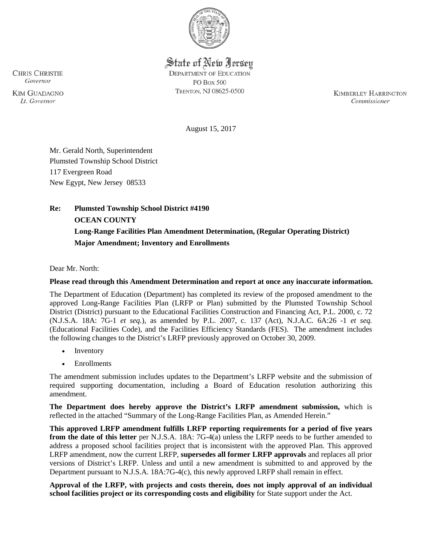

State of New Jersey **DEPARTMENT OF EDUCATION PO Box 500** TRENTON, NJ 08625-0500

**KIMBERLEY HARRINGTON** Commissioner

August 15, 2017

Mr. Gerald North, Superintendent Plumsted Township School District 117 Evergreen Road New Egypt, New Jersey 08533

# **Re: Plumsted Township School District #4190 OCEAN COUNTY Long-Range Facilities Plan Amendment Determination, (Regular Operating District) Major Amendment; Inventory and Enrollments**

Dear Mr. North:

### **Please read through this Amendment Determination and report at once any inaccurate information.**

The Department of Education (Department) has completed its review of the proposed amendment to the approved Long-Range Facilities Plan (LRFP or Plan) submitted by the Plumsted Township School District (District) pursuant to the Educational Facilities Construction and Financing Act, P.L. 2000, c. 72 (N.J.S.A. 18A: 7G-1 *et seq.*), as amended by P.L. 2007, c. 137 (Act), N.J.A.C. 6A:26 -1 *et seq.* (Educational Facilities Code), and the Facilities Efficiency Standards (FES). The amendment includes the following changes to the District's LRFP previously approved on October 30, 2009.

- **Inventory**
- **Enrollments**

The amendment submission includes updates to the Department's LRFP website and the submission of required supporting documentation, including a Board of Education resolution authorizing this amendment.

**The Department does hereby approve the District's LRFP amendment submission,** which is reflected in the attached "Summary of the Long-Range Facilities Plan, as Amended Herein."

**This approved LRFP amendment fulfills LRFP reporting requirements for a period of five years from the date of this letter** per N.J.S.A. 18A: 7G-4(a) unless the LRFP needs to be further amended to address a proposed school facilities project that is inconsistent with the approved Plan. This approved LRFP amendment, now the current LRFP, **supersedes all former LRFP approvals** and replaces all prior versions of District's LRFP. Unless and until a new amendment is submitted to and approved by the Department pursuant to N.J.S.A. 18A:7G-4(c), this newly approved LRFP shall remain in effect.

**Approval of the LRFP, with projects and costs therein, does not imply approval of an individual school facilities project or its corresponding costs and eligibility** for State support under the Act.

**CHRIS CHRISTIE** Governor

**KIM GUADAGNO It.** Governor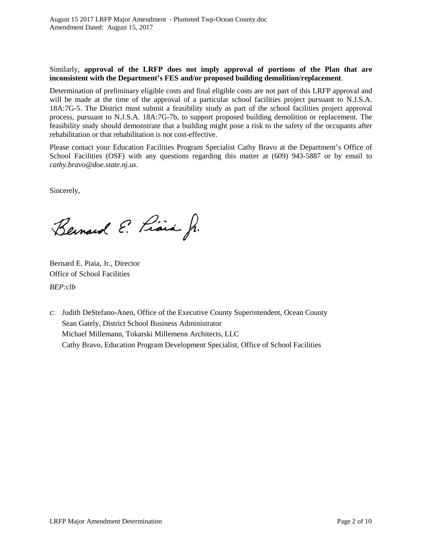### Similarly, **approval of the LRFP does not imply approval of portions of the Plan that are inconsistent with the Department's FES and/or proposed building demolition/replacement**.

Determination of preliminary eligible costs and final eligible costs are not part of this LRFP approval and will be made at the time of the approval of a particular school facilities project pursuant to N.J.S.A. 18A:7G-5. The District must submit a feasibility study as part of the school facilities project approval process, pursuant to N.J.S.A. 18A:7G-7b, to support proposed building demolition or replacement. The feasibility study should demonstrate that a building might pose a risk to the safety of the occupants after rehabilitation or that rehabilitation is not cost-effective.

Please contact your Education Facilities Program Specialist Cathy Bravo at the Department's Office of School Facilities (OSF) with any questions regarding this matter at (609) 943-5887 or by email to *cathy.bravo@doe.state.nj.us*.

Sincerely,

Bernard E. Liais J.

Bernard E. Piaia, Jr., Director Office of School Facilities *BEP:clb*

c: Judith DeStefano-Anen, Office of the Executive County Superintendent, Ocean County Sean Gately, District School Business Administrator Michael Millemann, Tokarski Millemenn Architects, LLC Cathy Bravo, Education Program Development Specialist, Office of School Facilities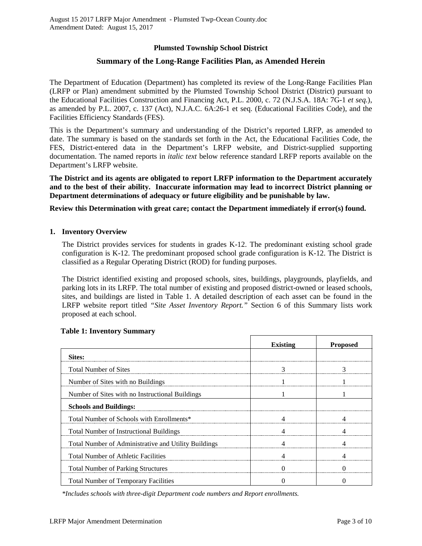## **Plumsted Township School District**

## **Summary of the Long-Range Facilities Plan, as Amended Herein**

The Department of Education (Department) has completed its review of the Long-Range Facilities Plan (LRFP or Plan) amendment submitted by the Plumsted Township School District (District) pursuant to the Educational Facilities Construction and Financing Act, P.L. 2000, c. 72 (N.J.S.A. 18A: 7G-1 *et seq.*), as amended by P.L. 2007, c. 137 (Act), N.J.A.C. 6A:26-1 et seq. (Educational Facilities Code), and the Facilities Efficiency Standards (FES).

This is the Department's summary and understanding of the District's reported LRFP, as amended to date. The summary is based on the standards set forth in the Act, the Educational Facilities Code, the FES, District-entered data in the Department's LRFP website, and District-supplied supporting documentation. The named reports in *italic text* below reference standard LRFP reports available on the Department's LRFP website.

**The District and its agents are obligated to report LRFP information to the Department accurately and to the best of their ability. Inaccurate information may lead to incorrect District planning or Department determinations of adequacy or future eligibility and be punishable by law.** 

**Review this Determination with great care; contact the Department immediately if error(s) found.**

#### **1. Inventory Overview**

The District provides services for students in grades K-12. The predominant existing school grade configuration is K-12. The predominant proposed school grade configuration is K-12. The District is classified as a Regular Operating District (ROD) for funding purposes.

The District identified existing and proposed schools, sites, buildings, playgrounds, playfields, and parking lots in its LRFP. The total number of existing and proposed district-owned or leased schools, sites, and buildings are listed in Table 1. A detailed description of each asset can be found in the LRFP website report titled *"Site Asset Inventory Report."* Section 6 of this Summary lists work proposed at each school.

|                                                      | <b>Existing</b> | <b>Proposed</b> |
|------------------------------------------------------|-----------------|-----------------|
| Sites:                                               |                 |                 |
| <b>Total Number of Sites</b>                         |                 |                 |
| Number of Sites with no Buildings                    |                 |                 |
| Number of Sites with no Instructional Buildings      |                 |                 |
| <b>Schools and Buildings:</b>                        |                 |                 |
| Total Number of Schools with Enrollments*            |                 |                 |
| <b>Total Number of Instructional Buildings</b>       |                 |                 |
| Total Number of Administrative and Utility Buildings |                 |                 |
| <b>Total Number of Athletic Facilities</b>           |                 |                 |
| <b>Total Number of Parking Structures</b>            |                 |                 |
| <b>Total Number of Temporary Facilities</b>          |                 |                 |

#### **Table 1: Inventory Summary**

*\*Includes schools with three-digit Department code numbers and Report enrollments.*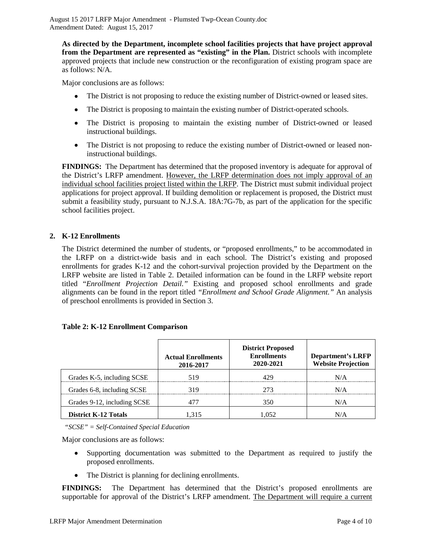**As directed by the Department, incomplete school facilities projects that have project approval from the Department are represented as "existing" in the Plan.** District schools with incomplete approved projects that include new construction or the reconfiguration of existing program space are as follows: N/A.

Major conclusions are as follows:

- The District is not proposing to reduce the existing number of District-owned or leased sites.
- The District is proposing to maintain the existing number of District-operated schools.
- The District is proposing to maintain the existing number of District-owned or leased instructional buildings.
- The District is not proposing to reduce the existing number of District-owned or leased noninstructional buildings.

**FINDINGS:** The Department has determined that the proposed inventory is adequate for approval of the District's LRFP amendment. However, the LRFP determination does not imply approval of an individual school facilities project listed within the LRFP. The District must submit individual project applications for project approval. If building demolition or replacement is proposed, the District must submit a feasibility study, pursuant to N.J.S.A. 18A:7G-7b, as part of the application for the specific school facilities project.

### **2. K-12 Enrollments**

The District determined the number of students, or "proposed enrollments," to be accommodated in the LRFP on a district-wide basis and in each school. The District's existing and proposed enrollments for grades K-12 and the cohort-survival projection provided by the Department on the LRFP website are listed in Table 2. Detailed information can be found in the LRFP website report titled "*Enrollment Projection Detail."* Existing and proposed school enrollments and grade alignments can be found in the report titled *"Enrollment and School Grade Alignment."* An analysis of preschool enrollments is provided in Section 3.

### **Table 2: K-12 Enrollment Comparison**

|                             | <b>Actual Enrollments</b><br>2016-2017 | <b>District Proposed</b><br><b>Enrollments</b><br>2020-2021 | <b>Department's LRFP</b><br><b>Website Projection</b> |
|-----------------------------|----------------------------------------|-------------------------------------------------------------|-------------------------------------------------------|
| Grades K-5, including SCSE  | 519                                    |                                                             | N/A                                                   |
| Grades 6-8, including SCSE  | 319                                    |                                                             | N/A                                                   |
| Grades 9-12, including SCSE |                                        | 350                                                         | N/A                                                   |
| <b>District K-12 Totals</b> | -315                                   |                                                             | N/A                                                   |

*"SCSE" = Self-Contained Special Education*

Major conclusions are as follows:

- Supporting documentation was submitted to the Department as required to justify the proposed enrollments.
- The District is planning for declining enrollments.

**FINDINGS:** The Department has determined that the District's proposed enrollments are supportable for approval of the District's LRFP amendment. The Department will require a current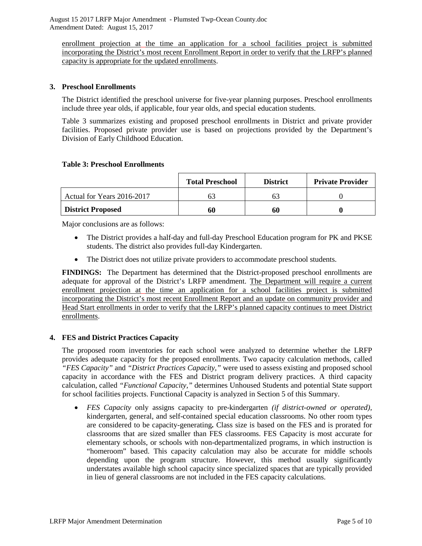enrollment projection at the time an application for a school facilities project is submitted incorporating the District's most recent Enrollment Report in order to verify that the LRFP's planned capacity is appropriate for the updated enrollments.

## **3. Preschool Enrollments**

The District identified the preschool universe for five-year planning purposes. Preschool enrollments include three year olds, if applicable, four year olds, and special education students.

Table 3 summarizes existing and proposed preschool enrollments in District and private provider facilities. Proposed private provider use is based on projections provided by the Department's Division of Early Childhood Education.

### **Table 3: Preschool Enrollments**

|                            | <b>Total Preschool</b> | <b>District</b> | <b>Private Provider</b> |
|----------------------------|------------------------|-----------------|-------------------------|
| Actual for Years 2016-2017 |                        |                 |                         |
| <b>District Proposed</b>   | 60                     | 60              |                         |

Major conclusions are as follows:

- The District provides a half-day and full-day Preschool Education program for PK and PKSE students. The district also provides full-day Kindergarten.
- The District does not utilize private providers to accommodate preschool students.

**FINDINGS:** The Department has determined that the District-proposed preschool enrollments are adequate for approval of the District's LRFP amendment. The Department will require a current enrollment projection at the time an application for a school facilities project is submitted incorporating the District's most recent Enrollment Report and an update on community provider and Head Start enrollments in order to verify that the LRFP's planned capacity continues to meet District enrollments.

# **4. FES and District Practices Capacity**

The proposed room inventories for each school were analyzed to determine whether the LRFP provides adequate capacity for the proposed enrollments. Two capacity calculation methods, called *"FES Capacity"* and *"District Practices Capacity,"* were used to assess existing and proposed school capacity in accordance with the FES and District program delivery practices. A third capacity calculation, called *"Functional Capacity,"* determines Unhoused Students and potential State support for school facilities projects. Functional Capacity is analyzed in Section 5 of this Summary.

• *FES Capacity* only assigns capacity to pre-kindergarten *(if district-owned or operated),* kindergarten, general, and self-contained special education classrooms. No other room types are considered to be capacity-generating**.** Class size is based on the FES and is prorated for classrooms that are sized smaller than FES classrooms. FES Capacity is most accurate for elementary schools, or schools with non-departmentalized programs, in which instruction is "homeroom" based. This capacity calculation may also be accurate for middle schools depending upon the program structure. However, this method usually significantly understates available high school capacity since specialized spaces that are typically provided in lieu of general classrooms are not included in the FES capacity calculations.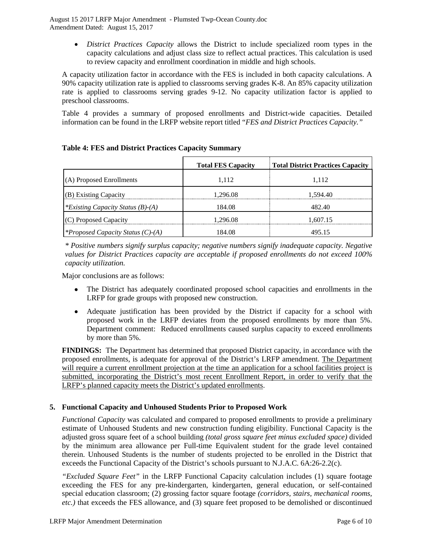• *District Practices Capacity* allows the District to include specialized room types in the capacity calculations and adjust class size to reflect actual practices. This calculation is used to review capacity and enrollment coordination in middle and high schools.

A capacity utilization factor in accordance with the FES is included in both capacity calculations. A 90% capacity utilization rate is applied to classrooms serving grades K-8. An 85% capacity utilization rate is applied to classrooms serving grades 9-12. No capacity utilization factor is applied to preschool classrooms.

Table 4 provides a summary of proposed enrollments and District-wide capacities. Detailed information can be found in the LRFP website report titled "*FES and District Practices Capacity."*

|                                          | <b>Total FES Capacity</b> | <b>Total District Practices Capacity</b> |
|------------------------------------------|---------------------------|------------------------------------------|
| (A) Proposed Enrollments                 | 1.112                     | 1.112                                    |
| (B) Existing Capacity                    | 1.296.08                  | 1.594.40                                 |
| *Existing Capacity Status (B)-(A)        | 184.08                    | 482.40                                   |
| (C) Proposed Capacity                    | 1.296.08                  | 1.607.15                                 |
| <i>*Proposed Capacity Status (C)-(A)</i> | 184.08                    | 495 15                                   |

**Table 4: FES and District Practices Capacity Summary**

*\* Positive numbers signify surplus capacity; negative numbers signify inadequate capacity. Negative values for District Practices capacity are acceptable if proposed enrollments do not exceed 100% capacity utilization.*

Major conclusions are as follows:

- The District has adequately coordinated proposed school capacities and enrollments in the LRFP for grade groups with proposed new construction.
- Adequate justification has been provided by the District if capacity for a school with proposed work in the LRFP deviates from the proposed enrollments by more than 5%. Department comment: Reduced enrollments caused surplus capacity to exceed enrollments by more than 5%.

**FINDINGS:** The Department has determined that proposed District capacity, in accordance with the proposed enrollments, is adequate for approval of the District's LRFP amendment. The Department will require a current enrollment projection at the time an application for a school facilities project is submitted, incorporating the District's most recent Enrollment Report, in order to verify that the LRFP's planned capacity meets the District's updated enrollments.

# **5. Functional Capacity and Unhoused Students Prior to Proposed Work**

*Functional Capacity* was calculated and compared to proposed enrollments to provide a preliminary estimate of Unhoused Students and new construction funding eligibility. Functional Capacity is the adjusted gross square feet of a school building *(total gross square feet minus excluded space)* divided by the minimum area allowance per Full-time Equivalent student for the grade level contained therein. Unhoused Students is the number of students projected to be enrolled in the District that exceeds the Functional Capacity of the District's schools pursuant to N.J.A.C. 6A:26-2.2(c).

*"Excluded Square Feet"* in the LRFP Functional Capacity calculation includes (1) square footage exceeding the FES for any pre-kindergarten, kindergarten, general education, or self-contained special education classroom; (2) grossing factor square footage *(corridors, stairs, mechanical rooms, etc.)* that exceeds the FES allowance, and (3) square feet proposed to be demolished or discontinued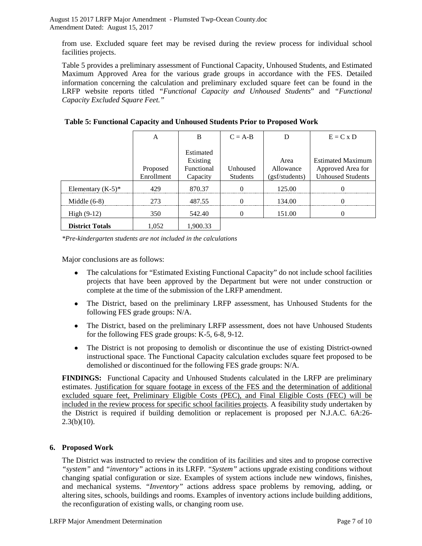from use. Excluded square feet may be revised during the review process for individual school facilities projects.

Table 5 provides a preliminary assessment of Functional Capacity, Unhoused Students, and Estimated Maximum Approved Area for the various grade groups in accordance with the FES. Detailed information concerning the calculation and preliminary excluded square feet can be found in the LRFP website reports titled *"Functional Capacity and Unhoused Students*" and *"Functional Capacity Excluded Square Feet."*

|                        | А                      | B                                                      | $C = A-B$            | D                                   | $E = C x D$                                                               |
|------------------------|------------------------|--------------------------------------------------------|----------------------|-------------------------------------|---------------------------------------------------------------------------|
|                        | Proposed<br>Enrollment | Estimated<br>Existing<br><b>Functional</b><br>Capacity | Unhoused<br>Students | Area<br>Allowance<br>(gsf/students) | <b>Estimated Maximum</b><br>Approved Area for<br><b>Unhoused Students</b> |
| Elementary $(K-5)^*$   | 429                    | 870.37                                                 |                      | 125.00                              |                                                                           |
| Middle $(6-8)$         | 273                    | 487.55                                                 |                      | 134.00                              |                                                                           |
| $High (9-12)$          | 350                    | 542.40                                                 |                      | 151.00                              |                                                                           |
| <b>District Totals</b> | 1,052                  | 1.900.33                                               |                      |                                     |                                                                           |

**Table 5: Functional Capacity and Unhoused Students Prior to Proposed Work**

*\*Pre-kindergarten students are not included in the calculations*

Major conclusions are as follows:

- The calculations for "Estimated Existing Functional Capacity" do not include school facilities projects that have been approved by the Department but were not under construction or complete at the time of the submission of the LRFP amendment.
- The District, based on the preliminary LRFP assessment, has Unhoused Students for the following FES grade groups: N/A.
- The District, based on the preliminary LRFP assessment, does not have Unhoused Students for the following FES grade groups: K-5, 6-8, 9-12.
- The District is not proposing to demolish or discontinue the use of existing District-owned instructional space. The Functional Capacity calculation excludes square feet proposed to be demolished or discontinued for the following FES grade groups: N/A.

**FINDINGS:** Functional Capacity and Unhoused Students calculated in the LRFP are preliminary estimates. Justification for square footage in excess of the FES and the determination of additional excluded square feet, Preliminary Eligible Costs (PEC), and Final Eligible Costs (FEC) will be included in the review process for specific school facilities projects. A feasibility study undertaken by the District is required if building demolition or replacement is proposed per N.J.A.C. 6A:26-  $2.3(b)(10)$ .

# **6. Proposed Work**

The District was instructed to review the condition of its facilities and sites and to propose corrective *"system"* and *"inventory"* actions in its LRFP. *"System"* actions upgrade existing conditions without changing spatial configuration or size. Examples of system actions include new windows, finishes, and mechanical systems. *"Inventory"* actions address space problems by removing, adding, or altering sites, schools, buildings and rooms. Examples of inventory actions include building additions, the reconfiguration of existing walls, or changing room use.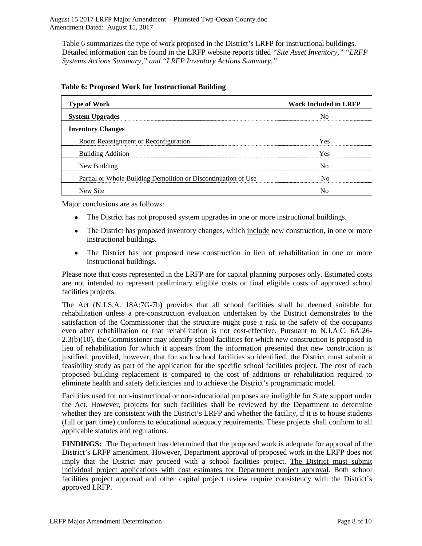Table 6 summarizes the type of work proposed in the District's LRFP for instructional buildings. Detailed information can be found in the LRFP website reports titled *"Site Asset Inventory," "LRFP Systems Actions Summary," and "LRFP Inventory Actions Summary."* 

| <b>Type of Work</b>                                            | <b>Work Included in LRFP</b> |
|----------------------------------------------------------------|------------------------------|
| <b>System Upgrades</b>                                         |                              |
| <b>Inventory Changes</b>                                       |                              |
| Room Reassignment or Reconfiguration                           | Yes                          |
| <b>Building Addition</b>                                       | Yes                          |
| New Building                                                   |                              |
| Partial or Whole Building Demolition or Discontinuation of Use |                              |
| New Site                                                       |                              |

### **Table 6: Proposed Work for Instructional Building**

Major conclusions are as follows:

- The District has not proposed system upgrades in one or more instructional buildings.
- The District has proposed inventory changes, which include new construction, in one or more instructional buildings.
- The District has not proposed new construction in lieu of rehabilitation in one or more instructional buildings.

Please note that costs represented in the LRFP are for capital planning purposes only. Estimated costs are not intended to represent preliminary eligible costs or final eligible costs of approved school facilities projects.

The Act (N.J.S.A. 18A:7G-7b) provides that all school facilities shall be deemed suitable for rehabilitation unless a pre-construction evaluation undertaken by the District demonstrates to the satisfaction of the Commissioner that the structure might pose a risk to the safety of the occupants even after rehabilitation or that rehabilitation is not cost-effective. Pursuant to N.J.A.C. 6A:26- 2.3(b)(10), the Commissioner may identify school facilities for which new construction is proposed in lieu of rehabilitation for which it appears from the information presented that new construction is justified, provided, however, that for such school facilities so identified, the District must submit a feasibility study as part of the application for the specific school facilities project. The cost of each proposed building replacement is compared to the cost of additions or rehabilitation required to eliminate health and safety deficiencies and to achieve the District's programmatic model.

Facilities used for non-instructional or non-educational purposes are ineligible for State support under the Act. However, projects for such facilities shall be reviewed by the Department to determine whether they are consistent with the District's LRFP and whether the facility, if it is to house students (full or part time) conforms to educational adequacy requirements. These projects shall conform to all applicable statutes and regulations.

**FINDINGS: T**he Department has determined that the proposed work is adequate for approval of the District's LRFP amendment. However, Department approval of proposed work in the LRFP does not imply that the District may proceed with a school facilities project. The District must submit individual project applications with cost estimates for Department project approval. Both school facilities project approval and other capital project review require consistency with the District's approved LRFP.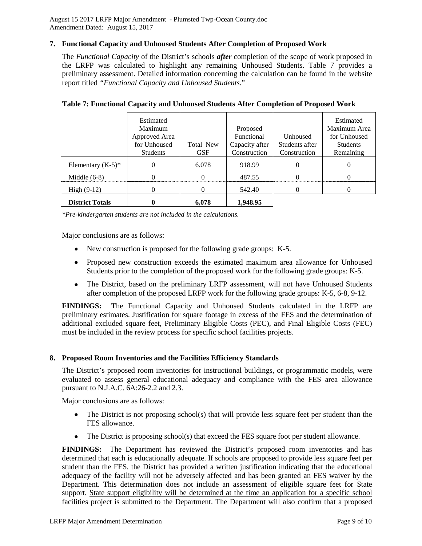#### **7. Functional Capacity and Unhoused Students After Completion of Proposed Work**

The *Functional Capacity* of the District's schools *after* completion of the scope of work proposed in the LRFP was calculated to highlight any remaining Unhoused Students. Table 7 provides a preliminary assessment. Detailed information concerning the calculation can be found in the website report titled *"Functional Capacity and Unhoused Students.*"

|                        | Estimated<br>Maximum<br>Approved Area<br>for Unhoused<br><b>Students</b> | Total New<br><b>GSF</b> | Proposed<br>Functional<br>Capacity after<br>Construction | <b>Unhoused</b><br>Students after<br>Construction | Estimated<br>Maximum Area<br>for Unhoused<br><b>Students</b><br>Remaining |
|------------------------|--------------------------------------------------------------------------|-------------------------|----------------------------------------------------------|---------------------------------------------------|---------------------------------------------------------------------------|
| Elementary $(K-5)^*$   |                                                                          | 6.078                   | 918.99                                                   |                                                   |                                                                           |
| Middle $(6-8)$         |                                                                          |                         | 487.55                                                   |                                                   |                                                                           |
| High $(9-12)$          |                                                                          |                         | 542.40                                                   |                                                   |                                                                           |
| <b>District Totals</b> |                                                                          | 6.078                   | 1,948.95                                                 |                                                   |                                                                           |

#### **Table 7: Functional Capacity and Unhoused Students After Completion of Proposed Work**

*\*Pre-kindergarten students are not included in the calculations.*

Major conclusions are as follows:

- New construction is proposed for the following grade groups: K-5.
- Proposed new construction exceeds the estimated maximum area allowance for Unhoused Students prior to the completion of the proposed work for the following grade groups: K-5.
- The District, based on the preliminary LRFP assessment, will not have Unhoused Students after completion of the proposed LRFP work for the following grade groups: K-5, 6-8, 9-12.

**FINDINGS:** The Functional Capacity and Unhoused Students calculated in the LRFP are preliminary estimates. Justification for square footage in excess of the FES and the determination of additional excluded square feet, Preliminary Eligible Costs (PEC), and Final Eligible Costs (FEC) must be included in the review process for specific school facilities projects.

### **8. Proposed Room Inventories and the Facilities Efficiency Standards**

The District's proposed room inventories for instructional buildings, or programmatic models, were evaluated to assess general educational adequacy and compliance with the FES area allowance pursuant to N.J.A.C. 6A:26-2.2 and 2.3.

Major conclusions are as follows:

- The District is not proposing school(s) that will provide less square feet per student than the FES allowance.
- The District is proposing school(s) that exceed the FES square foot per student allowance.

**FINDINGS:** The Department has reviewed the District's proposed room inventories and has determined that each is educationally adequate. If schools are proposed to provide less square feet per student than the FES, the District has provided a written justification indicating that the educational adequacy of the facility will not be adversely affected and has been granted an FES waiver by the Department. This determination does not include an assessment of eligible square feet for State support. State support eligibility will be determined at the time an application for a specific school facilities project is submitted to the Department. The Department will also confirm that a proposed